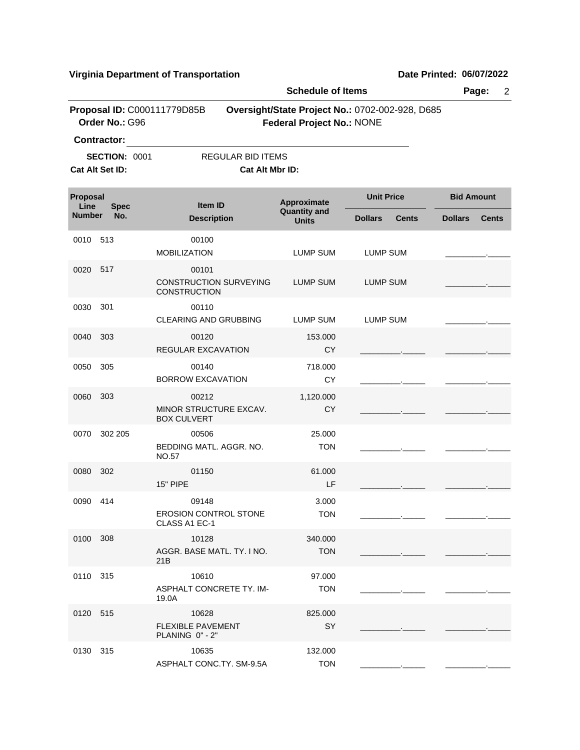|                  |                      |                                                               | <b>Schedule of Items</b>           |                                                 | Page:<br>$\overline{2}$        |  |  |
|------------------|----------------------|---------------------------------------------------------------|------------------------------------|-------------------------------------------------|--------------------------------|--|--|
|                  | Order No.: G96       | Proposal ID: C000111779D85B                                   | <b>Federal Project No.: NONE</b>   | Oversight/State Project No.: 0702-002-928, D685 |                                |  |  |
|                  | <b>Contractor:</b>   |                                                               |                                    |                                                 |                                |  |  |
|                  | <b>SECTION: 0001</b> | <b>REGULAR BID ITEMS</b>                                      |                                    |                                                 |                                |  |  |
|                  | Cat Alt Set ID:      | Cat Alt Mbr ID:                                               |                                    |                                                 |                                |  |  |
| Proposal<br>Line | <b>Spec</b>          | Item ID                                                       | Approximate<br><b>Quantity and</b> | <b>Unit Price</b>                               | <b>Bid Amount</b>              |  |  |
| <b>Number</b>    | No.                  | <b>Description</b>                                            | <b>Units</b>                       | <b>Dollars</b><br><b>Cents</b>                  | <b>Cents</b><br><b>Dollars</b> |  |  |
| 0010             | 513                  | 00100<br><b>MOBILIZATION</b>                                  | LUMP SUM                           | <b>LUMP SUM</b>                                 |                                |  |  |
| 0020             | 517                  | 00101<br><b>CONSTRUCTION SURVEYING</b><br><b>CONSTRUCTION</b> | <b>LUMP SUM</b>                    | <b>LUMP SUM</b>                                 |                                |  |  |
| 0030             | 301                  | 00110<br><b>CLEARING AND GRUBBING</b>                         | LUMP SUM                           | <b>LUMP SUM</b>                                 |                                |  |  |
| 0040             | 303                  | 00120<br>REGULAR EXCAVATION                                   | 153.000<br><b>CY</b>               |                                                 |                                |  |  |
| 0050             | 305                  | 00140<br><b>BORROW EXCAVATION</b>                             | 718.000<br><b>CY</b>               |                                                 |                                |  |  |
| 0060             | 303                  | 00212<br>MINOR STRUCTURE EXCAV.<br><b>BOX CULVERT</b>         | 1,120.000<br>CY                    |                                                 |                                |  |  |
| 0070             | 302 205              | 00506<br>BEDDING MATL. AGGR. NO.<br>NO.57                     | 25.000<br><b>TON</b>               |                                                 |                                |  |  |
| 0080             | 302                  | 01150<br><b>15" PIPE</b>                                      | 61.000<br>LF                       |                                                 |                                |  |  |
| 0090             | 414                  | 09148<br><b>EROSION CONTROL STONE</b><br>CLASS A1 EC-1        | 3.000<br><b>TON</b>                |                                                 |                                |  |  |
| 0100 308         |                      | 10128<br>AGGR. BASE MATL. TY. I NO.<br>21B                    | 340.000<br><b>TON</b>              |                                                 |                                |  |  |
| 0110 315         |                      | 10610<br>ASPHALT CONCRETE TY. IM-<br>19.0A                    | 97.000<br><b>TON</b>               |                                                 |                                |  |  |
| 0120 515         |                      | 10628<br><b>FLEXIBLE PAVEMENT</b><br>PLANING 0" - 2"          | 825.000<br>SY                      |                                                 |                                |  |  |
| 0130 315         |                      | 10635<br>ASPHALT CONC.TY. SM-9.5A                             | 132.000<br><b>TON</b>              |                                                 |                                |  |  |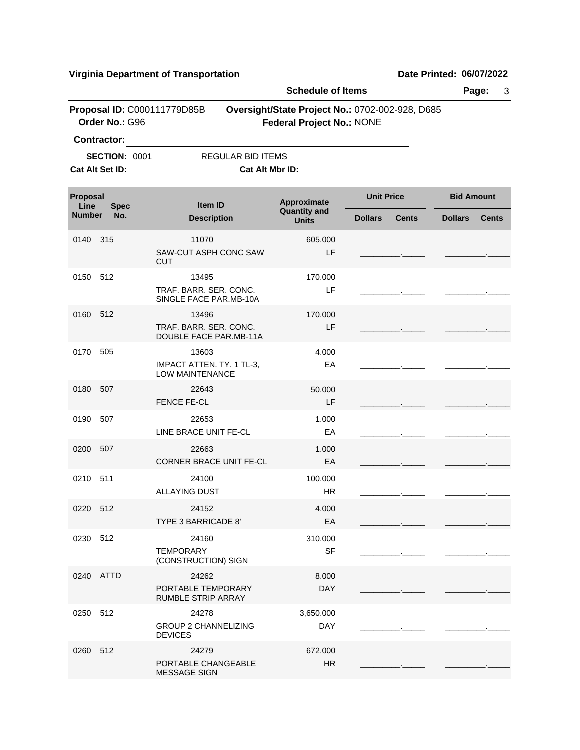|               |                                               |                                                     | <b>Schedule of Items</b>           | Page:<br>3                                      |                   |              |  |  |
|---------------|-----------------------------------------------|-----------------------------------------------------|------------------------------------|-------------------------------------------------|-------------------|--------------|--|--|
|               | Proposal ID: C000111779D85B<br>Order No.: G96 |                                                     | <b>Federal Project No.: NONE</b>   | Oversight/State Project No.: 0702-002-928, D685 |                   |              |  |  |
|               | <b>Contractor:</b>                            |                                                     |                                    |                                                 |                   |              |  |  |
|               | <b>SECTION: 0001</b>                          | <b>REGULAR BID ITEMS</b>                            |                                    |                                                 |                   |              |  |  |
|               | Cat Alt Set ID:                               | Cat Alt Mbr ID:                                     |                                    |                                                 |                   |              |  |  |
| Proposal      |                                               |                                                     |                                    | <b>Unit Price</b>                               | <b>Bid Amount</b> |              |  |  |
| Line          | <b>Spec</b>                                   | <b>Item ID</b>                                      | Approximate<br><b>Quantity and</b> |                                                 |                   |              |  |  |
| <b>Number</b> | No.                                           | <b>Description</b>                                  | <b>Units</b>                       | <b>Dollars</b><br><b>Cents</b>                  | <b>Dollars</b>    | <b>Cents</b> |  |  |
| 0140 315      |                                               | 11070                                               | 605.000                            |                                                 |                   |              |  |  |
|               |                                               | SAW-CUT ASPH CONC SAW<br><b>CUT</b>                 | LF                                 |                                                 |                   |              |  |  |
| 0150 512      |                                               | 13495                                               | 170.000                            |                                                 |                   |              |  |  |
|               |                                               | TRAF, BARR, SER, CONC.<br>SINGLE FACE PAR.MB-10A    | LF                                 |                                                 |                   |              |  |  |
| 0160 512      |                                               | 13496                                               | 170.000                            |                                                 |                   |              |  |  |
|               |                                               | TRAF. BARR. SER. CONC.<br>DOUBLE FACE PAR.MB-11A    | LF                                 |                                                 |                   |              |  |  |
| 0170          | 505                                           | 13603                                               | 4.000                              |                                                 |                   |              |  |  |
|               |                                               | IMPACT ATTEN. TY. 1 TL-3,<br><b>LOW MAINTENANCE</b> | EA                                 |                                                 |                   |              |  |  |
| 0180 507      |                                               | 22643                                               | 50.000                             |                                                 |                   |              |  |  |
|               |                                               | <b>FENCE FE-CL</b>                                  | LF.                                |                                                 |                   |              |  |  |
| 0190          | 507                                           | 22653                                               | 1.000                              |                                                 |                   |              |  |  |
|               |                                               | LINE BRACE UNIT FE-CL                               | EA                                 |                                                 |                   |              |  |  |
| 0200 507      |                                               | 22663                                               | 1.000                              |                                                 |                   |              |  |  |
|               |                                               | CORNER BRACE UNIT FE-CL                             | EA                                 |                                                 |                   |              |  |  |
| 0210 511      |                                               | 24100                                               | 100.000                            |                                                 |                   |              |  |  |
|               |                                               | <b>ALLAYING DUST</b>                                | HR.                                |                                                 |                   |              |  |  |
| 0220 512      |                                               | 24152                                               | 4.000                              |                                                 |                   |              |  |  |
|               |                                               | TYPE 3 BARRICADE 8'                                 | EA                                 |                                                 |                   |              |  |  |
| 0230 512      |                                               | 24160                                               | 310.000                            |                                                 |                   |              |  |  |
|               |                                               | <b>TEMPORARY</b>                                    | SF                                 |                                                 |                   |              |  |  |
|               |                                               | (CONSTRUCTION) SIGN                                 |                                    |                                                 |                   |              |  |  |
|               | 0240 ATTD                                     | 24262                                               | 8.000                              |                                                 |                   |              |  |  |
|               |                                               | PORTABLE TEMPORARY                                  | <b>DAY</b>                         |                                                 |                   |              |  |  |
|               |                                               | <b>RUMBLE STRIP ARRAY</b>                           |                                    |                                                 |                   |              |  |  |
| 0250 512      |                                               | 24278<br><b>GROUP 2 CHANNELIZING</b>                | 3,650.000                          |                                                 |                   |              |  |  |
|               |                                               | <b>DEVICES</b>                                      | <b>DAY</b>                         |                                                 |                   |              |  |  |
| 0260 512      |                                               | 24279                                               | 672.000                            |                                                 |                   |              |  |  |
|               |                                               | PORTABLE CHANGEABLE                                 | <b>HR</b>                          |                                                 |                   |              |  |  |
|               |                                               | <b>MESSAGE SIGN</b>                                 |                                    |                                                 |                   |              |  |  |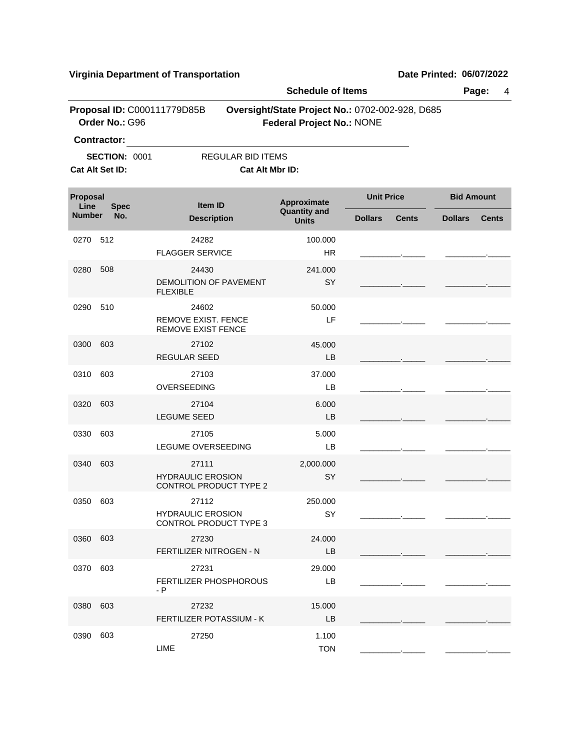|                  |                                         |                                                         | <b>Schedule of Items</b>                                                            |                   |              |                   |              |
|------------------|-----------------------------------------|---------------------------------------------------------|-------------------------------------------------------------------------------------|-------------------|--------------|-------------------|--------------|
|                  | Order No.: G96                          | Proposal ID: C000111779D85B                             | Oversight/State Project No.: 0702-002-928, D685<br><b>Federal Project No.: NONE</b> |                   |              |                   |              |
|                  | <b>Contractor:</b>                      |                                                         |                                                                                     |                   |              |                   |              |
|                  | <b>SECTION: 0001</b><br>Cat Alt Set ID: | <b>REGULAR BID ITEMS</b><br>Cat Alt Mbr ID:             |                                                                                     |                   |              |                   |              |
| Proposal<br>Line | <b>Spec</b>                             | <b>Item ID</b>                                          | Approximate<br><b>Quantity and</b>                                                  | <b>Unit Price</b> |              | <b>Bid Amount</b> |              |
| <b>Number</b>    | No.                                     | <b>Description</b>                                      | <b>Units</b>                                                                        | <b>Dollars</b>    | <b>Cents</b> | <b>Dollars</b>    | <b>Cents</b> |
| 0270             | 512                                     | 24282                                                   | 100.000                                                                             |                   |              |                   |              |
|                  |                                         | <b>FLAGGER SERVICE</b>                                  | <b>HR</b>                                                                           |                   |              |                   |              |
| 0280             | 508                                     | 24430                                                   | 241.000                                                                             |                   |              |                   |              |
|                  |                                         | DEMOLITION OF PAVEMENT<br><b>FLEXIBLE</b>               | <b>SY</b>                                                                           |                   |              |                   |              |
| 0290             | 510                                     | 24602                                                   | 50.000                                                                              |                   |              |                   |              |
|                  |                                         | <b>REMOVE EXIST, FENCE</b><br><b>REMOVE EXIST FENCE</b> | LF                                                                                  |                   |              |                   |              |
| 0300             | 603                                     | 27102                                                   | 45.000                                                                              |                   |              |                   |              |
|                  |                                         | <b>REGULAR SEED</b>                                     | <b>LB</b>                                                                           |                   |              |                   |              |
| 0310             | 603                                     | 27103                                                   | 37.000                                                                              |                   |              |                   |              |
|                  |                                         | OVERSEEDING                                             | LB                                                                                  |                   |              |                   |              |
| 0320             | 603                                     | 27104                                                   | 6.000                                                                               |                   |              |                   |              |
|                  |                                         | <b>LEGUME SEED</b>                                      | <b>LB</b>                                                                           |                   |              |                   |              |
| 0330             | 603                                     | 27105                                                   | 5.000                                                                               |                   |              |                   |              |
|                  |                                         | LEGUME OVERSEEDING                                      | LB                                                                                  |                   |              |                   |              |
| 0340             | 603                                     | 27111                                                   | 2,000.000                                                                           |                   |              |                   |              |
|                  |                                         | <b>HYDRAULIC EROSION</b><br>CONTROL PRODUCT TYPE 2      | SY                                                                                  |                   |              |                   |              |
| 0350             | 603                                     | 27112                                                   | 250.000                                                                             |                   |              |                   |              |
|                  |                                         | <b>HYDRAULIC EROSION</b>                                | SY                                                                                  |                   |              |                   |              |
|                  |                                         | <b>CONTROL PRODUCT TYPE 3</b>                           |                                                                                     |                   |              |                   |              |
| 0360 603         |                                         | 27230<br>FERTILIZER NITROGEN - N                        | 24.000<br>LB                                                                        |                   |              |                   |              |
| 0370             | 603                                     | 27231                                                   | 29.000                                                                              |                   |              |                   |              |
|                  |                                         | FERTILIZER PHOSPHOROUS<br>- P                           | LВ                                                                                  |                   |              |                   |              |
| 0380 603         |                                         | 27232                                                   | 15.000                                                                              |                   |              |                   |              |
|                  |                                         | FERTILIZER POTASSIUM - K                                | LB                                                                                  |                   |              |                   |              |
| 0390             | 603                                     | 27250                                                   | 1.100                                                                               |                   |              |                   |              |
|                  |                                         | LIME                                                    | <b>TON</b>                                                                          |                   |              |                   |              |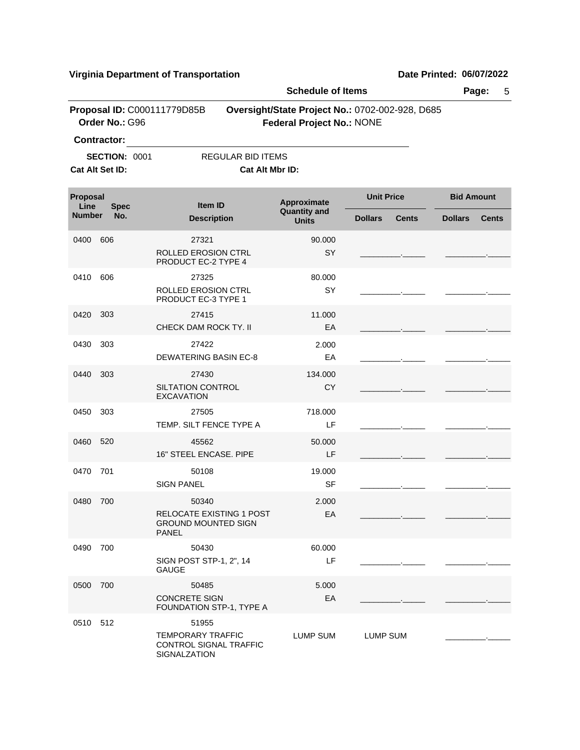|                                               |                      | <b>Schedule of Items</b>                                               |                                                                                     |                          |              | Page:<br>5        |              |  |
|-----------------------------------------------|----------------------|------------------------------------------------------------------------|-------------------------------------------------------------------------------------|--------------------------|--------------|-------------------|--------------|--|
| Proposal ID: C000111779D85B<br>Order No.: G96 |                      |                                                                        | Oversight/State Project No.: 0702-002-928, D685<br><b>Federal Project No.: NONE</b> |                          |              |                   |              |  |
|                                               | <b>Contractor:</b>   |                                                                        |                                                                                     |                          |              |                   |              |  |
|                                               | <b>SECTION: 0001</b> | <b>REGULAR BID ITEMS</b>                                               |                                                                                     |                          |              |                   |              |  |
|                                               | Cat Alt Set ID:      | Cat Alt Mbr ID:                                                        |                                                                                     |                          |              |                   |              |  |
| Proposal<br>Line<br><b>Spec</b>               |                      | Item ID                                                                | Approximate                                                                         | <b>Unit Price</b>        |              | <b>Bid Amount</b> |              |  |
| <b>Number</b>                                 | No.                  | <b>Description</b>                                                     | <b>Quantity and</b><br><b>Units</b>                                                 | <b>Dollars</b>           | <b>Cents</b> | <b>Dollars</b>    | <b>Cents</b> |  |
| 0400                                          | 606                  | 27321                                                                  | 90.000                                                                              |                          |              |                   |              |  |
|                                               |                      | <b>ROLLED EROSION CTRL</b><br>PRODUCT EC-2 TYPE 4                      | <b>SY</b>                                                                           |                          |              |                   |              |  |
| 0410                                          | 606                  | 27325                                                                  | 80.000                                                                              |                          |              |                   |              |  |
|                                               |                      | ROLLED EROSION CTRL<br>PRODUCT EC-3 TYPE 1                             | <b>SY</b>                                                                           |                          |              |                   |              |  |
| 0420                                          | 303                  | 27415                                                                  | 11.000                                                                              |                          |              |                   |              |  |
|                                               |                      | CHECK DAM ROCK TY. II                                                  | EA                                                                                  |                          |              |                   |              |  |
| 0430                                          | 303                  | 27422                                                                  | 2.000                                                                               |                          |              |                   |              |  |
|                                               |                      | <b>DEWATERING BASIN EC-8</b>                                           | EA                                                                                  | <b>Contract Contract</b> |              |                   |              |  |
| 0440                                          | 303                  | 27430                                                                  | 134.000                                                                             |                          |              |                   |              |  |
|                                               |                      | <b>SILTATION CONTROL</b><br><b>EXCAVATION</b>                          | CY.                                                                                 |                          |              |                   |              |  |
| 0450                                          | 303                  | 27505                                                                  | 718.000                                                                             |                          |              |                   |              |  |
|                                               |                      | TEMP. SILT FENCE TYPE A                                                | LF                                                                                  |                          |              |                   |              |  |
| 0460                                          | 520                  | 45562                                                                  | 50.000                                                                              |                          |              |                   |              |  |
|                                               |                      | 16" STEEL ENCASE. PIPE                                                 | LF                                                                                  |                          |              |                   |              |  |
| 0470                                          | 701                  | 50108                                                                  | 19.000                                                                              |                          |              |                   |              |  |
|                                               |                      | <b>SIGN PANEL</b>                                                      | <b>SF</b>                                                                           |                          |              |                   |              |  |
| 0480 700                                      |                      | 50340                                                                  | 2.000                                                                               |                          |              |                   |              |  |
|                                               |                      | <b>RELOCATE EXISTING 1 POST</b><br><b>GROUND MOUNTED SIGN</b><br>PANEL | EA                                                                                  |                          |              |                   |              |  |
| 0490 700                                      |                      | 50430                                                                  | 60.000                                                                              |                          |              |                   |              |  |
|                                               |                      | SIGN POST STP-1, 2", 14<br><b>GAUGE</b>                                | LF                                                                                  |                          |              |                   |              |  |
| 0500 700                                      |                      | 50485                                                                  | 5.000                                                                               |                          |              |                   |              |  |
|                                               |                      | <b>CONCRETE SIGN</b><br>FOUNDATION STP-1, TYPE A                       | EA                                                                                  |                          |              |                   |              |  |
| 0510 512                                      |                      | 51955                                                                  |                                                                                     |                          |              |                   |              |  |
|                                               |                      | <b>TEMPORARY TRAFFIC</b><br>CONTROL SIGNAL TRAFFIC<br>SIGNALZATION     | LUMP SUM                                                                            | LUMP SUM                 |              |                   |              |  |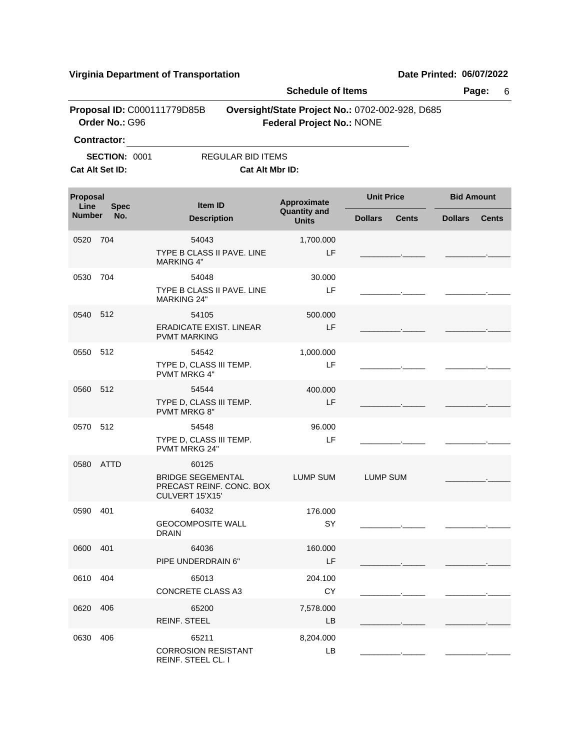|                                               |                                         |                                                                                  | <b>Schedule of Items</b>                                                            |                                |                                |  |  |
|-----------------------------------------------|-----------------------------------------|----------------------------------------------------------------------------------|-------------------------------------------------------------------------------------|--------------------------------|--------------------------------|--|--|
| Proposal ID: C000111779D85B<br>Order No.: G96 |                                         |                                                                                  | Oversight/State Project No.: 0702-002-928, D685<br><b>Federal Project No.: NONE</b> |                                |                                |  |  |
|                                               | <b>Contractor:</b>                      |                                                                                  |                                                                                     |                                |                                |  |  |
|                                               | <b>SECTION: 0001</b><br>Cat Alt Set ID: | <b>REGULAR BID ITEMS</b>                                                         | Cat Alt Mbr ID:                                                                     |                                |                                |  |  |
| Proposal<br>Line                              | <b>Spec</b>                             | Item ID                                                                          | Approximate                                                                         | <b>Unit Price</b>              | <b>Bid Amount</b>              |  |  |
| <b>Number</b>                                 | No.                                     | <b>Description</b>                                                               | <b>Quantity and</b><br><b>Units</b>                                                 | <b>Cents</b><br><b>Dollars</b> | <b>Dollars</b><br><b>Cents</b> |  |  |
| 0520                                          | 704                                     | 54043<br>TYPE B CLASS II PAVE, LINE<br><b>MARKING 4"</b>                         | 1,700.000<br>LF                                                                     |                                |                                |  |  |
| 0530                                          | 704                                     | 54048<br>TYPE B CLASS II PAVE, LINE<br><b>MARKING 24"</b>                        | 30.000<br>LF                                                                        |                                |                                |  |  |
| 0540                                          | 512                                     | 54105<br>ERADICATE EXIST, LINEAR<br><b>PVMT MARKING</b>                          | 500.000<br>LF                                                                       |                                |                                |  |  |
| 0550 512                                      |                                         | 54542<br>TYPE D, CLASS III TEMP.<br><b>PVMT MRKG 4"</b>                          | 1,000.000<br>LF                                                                     |                                |                                |  |  |
| 0560 512                                      |                                         | 54544<br>TYPE D, CLASS III TEMP.<br><b>PVMT MRKG 8"</b>                          | 400.000<br>LF                                                                       |                                |                                |  |  |
| 0570                                          | 512                                     | 54548<br>TYPE D, CLASS III TEMP.<br><b>PVMT MRKG 24"</b>                         | 96.000<br>LF                                                                        |                                |                                |  |  |
| 0580                                          | ATTD                                    | 60125<br><b>BRIDGE SEGEMENTAL</b><br>PRECAST REINF. CONC. BOX<br>CULVERT 15'X15' | <b>LUMP SUM</b>                                                                     | <b>LUMP SUM</b>                |                                |  |  |
| 0590 401                                      |                                         | 64032<br><b>GEOCOMPOSITE WALL</b><br><b>DRAIN</b>                                | 176.000<br>SY                                                                       |                                |                                |  |  |
| 0600 401                                      |                                         | 64036<br>PIPE UNDERDRAIN 6"                                                      | 160.000<br>LF                                                                       |                                |                                |  |  |
| 0610                                          | 404                                     | 65013<br><b>CONCRETE CLASS A3</b>                                                | 204.100<br><b>CY</b>                                                                |                                |                                |  |  |
| 0620                                          | 406                                     | 65200<br><b>REINF. STEEL</b>                                                     | 7,578.000<br>LB.                                                                    |                                |                                |  |  |
| 0630                                          | 406                                     | 65211<br><b>CORROSION RESISTANT</b>                                              | 8,204.000<br>LB                                                                     |                                |                                |  |  |

REINF. STEEL CL. I